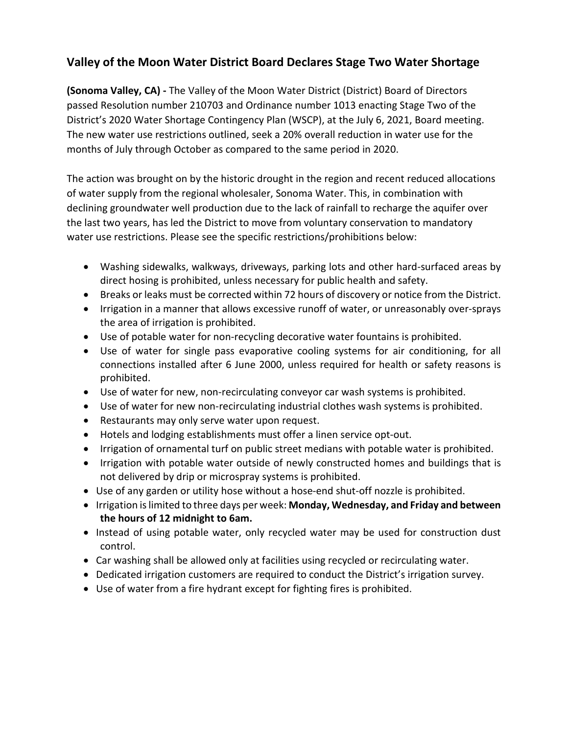## **Valley of the Moon Water District Board Declares Stage Two Water Shortage**

**(Sonoma Valley, CA) -** The Valley of the Moon Water District (District) Board of Directors passed Resolution number 210703 and Ordinance number 1013 enacting Stage Two of the District's 2020 Water Shortage Contingency Plan (WSCP), at the July 6, 2021, Board meeting. The new water use restrictions outlined, seek a 20% overall reduction in water use for the months of July through October as compared to the same period in 2020.

The action was brought on by the historic drought in the region and recent reduced allocations of water supply from the regional wholesaler, Sonoma Water. This, in combination with declining groundwater well production due to the lack of rainfall to recharge the aquifer over the last two years, has led the District to move from voluntary conservation to mandatory water use restrictions. Please see the specific restrictions/prohibitions below:

- Washing sidewalks, walkways, driveways, parking lots and other hard-surfaced areas by direct hosing is prohibited, unless necessary for public health and safety.
- Breaks or leaks must be corrected within 72 hours of discovery or notice from the District.
- Irrigation in a manner that allows excessive runoff of water, or unreasonably over-sprays the area of irrigation is prohibited.
- Use of potable water for non-recycling decorative water fountains is prohibited.
- Use of water for single pass evaporative cooling systems for air conditioning, for all connections installed after 6 June 2000, unless required for health or safety reasons is prohibited.
- Use of water for new, non-recirculating conveyor car wash systems is prohibited.
- Use of water for new non-recirculating industrial clothes wash systems is prohibited.
- Restaurants may only serve water upon request.
- Hotels and lodging establishments must offer a linen service opt-out.
- Irrigation of ornamental turf on public street medians with potable water is prohibited.
- Irrigation with potable water outside of newly constructed homes and buildings that is not delivered by drip or microspray systems is prohibited.
- Use of any garden or utility hose without a hose-end shut-off nozzle is prohibited.
- Irrigation is limited to three days per week: **Monday, Wednesday, and Friday and between the hours of 12 midnight to 6am.**
- Instead of using potable water, only recycled water may be used for construction dust control.
- Car washing shall be allowed only at facilities using recycled or recirculating water.
- Dedicated irrigation customers are required to conduct the District's irrigation survey.
- Use of water from a fire hydrant except for fighting fires is prohibited.